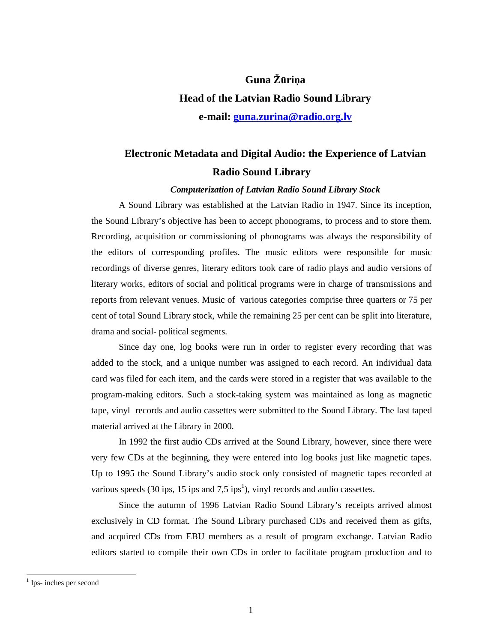# **Guna Ž**ū**ri**ņ**a Head of the Latvian Radio Sound Library e-mail: guna.zurina@radio.org.lv**

# **Electronic Metadata and Digital Audio: the Experience of Latvian Radio Sound Library**

*Computerization of Latvian Radio Sound Library Stock* 

A Sound Library was established at the Latvian Radio in 1947. Since its inception, the Sound Library's objective has been to accept phonograms, to process and to store them. Recording, acquisition or commissioning of phonograms was always the responsibility of the editors of corresponding profiles. The music editors were responsible for music recordings of diverse genres, literary editors took care of radio plays and audio versions of literary works, editors of social and political programs were in charge of transmissions and reports from relevant venues. Music of various categories comprise three quarters or 75 per cent of total Sound Library stock, while the remaining 25 per cent can be split into literature, drama and social- political segments.

Since day one, log books were run in order to register every recording that was added to the stock, and a unique number was assigned to each record. An individual data card was filed for each item, and the cards were stored in a register that was available to the program-making editors. Such a stock-taking system was maintained as long as magnetic tape, vinyl records and audio cassettes were submitted to the Sound Library. The last taped material arrived at the Library in 2000.

In 1992 the first audio CDs arrived at the Sound Library, however, since there were very few CDs at the beginning, they were entered into log books just like magnetic tapes. Up to 1995 the Sound Library's audio stock only consisted of magnetic tapes recorded at various speeds (30 ips, 15 ips and 7,5 ips<sup>1</sup>), vinyl records and audio cassettes.

Since the autumn of 1996 Latvian Radio Sound Library's receipts arrived almost exclusively in CD format. The Sound Library purchased CDs and received them as gifts, and acquired CDs from EBU members as a result of program exchange. Latvian Radio editors started to compile their own CDs in order to facilitate program production and to

-

<sup>&</sup>lt;sup>1</sup> Ips- inches per second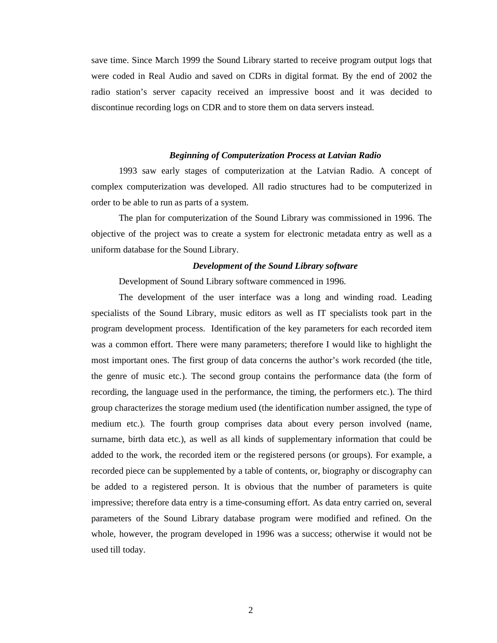save time. Since March 1999 the Sound Library started to receive program output logs that were coded in Real Audio and saved on CDRs in digital format. By the end of 2002 the radio station's server capacity received an impressive boost and it was decided to discontinue recording logs on CDR and to store them on data servers instead.

## *Beginning of Computerization Process at Latvian Radio*

1993 saw early stages of computerization at the Latvian Radio. A concept of complex computerization was developed. All radio structures had to be computerized in order to be able to run as parts of a system.

The plan for computerization of the Sound Library was commissioned in 1996. The objective of the project was to create a system for electronic metadata entry as well as a uniform database for the Sound Library.

#### *Development of the Sound Library software*

Development of Sound Library software commenced in 1996.

The development of the user interface was a long and winding road. Leading specialists of the Sound Library, music editors as well as IT specialists took part in the program development process. Identification of the key parameters for each recorded item was a common effort. There were many parameters; therefore I would like to highlight the most important ones. The first group of data concerns the author's work recorded (the title, the genre of music etc.). The second group contains the performance data (the form of recording, the language used in the performance, the timing, the performers etc.). The third group characterizes the storage medium used (the identification number assigned, the type of medium etc.). The fourth group comprises data about every person involved (name, surname, birth data etc.), as well as all kinds of supplementary information that could be added to the work, the recorded item or the registered persons (or groups). For example, a recorded piece can be supplemented by a table of contents, or, biography or discography can be added to a registered person. It is obvious that the number of parameters is quite impressive; therefore data entry is a time-consuming effort. As data entry carried on, several parameters of the Sound Library database program were modified and refined. On the whole, however, the program developed in 1996 was a success; otherwise it would not be used till today.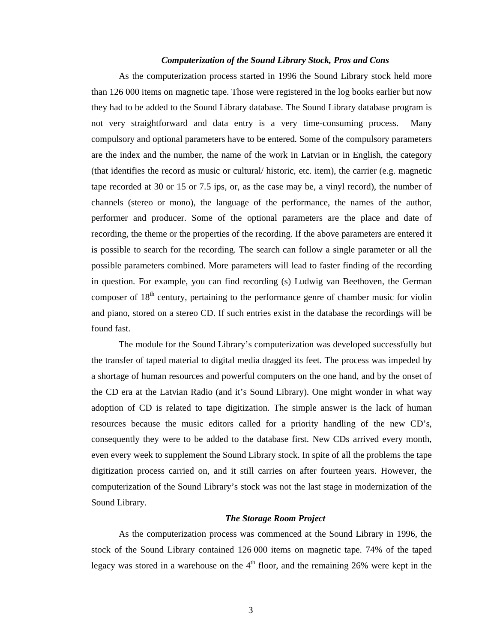## *Computerization of the Sound Library Stock, Pros and Cons*

As the computerization process started in 1996 the Sound Library stock held more than 126 000 items on magnetic tape. Those were registered in the log books earlier but now they had to be added to the Sound Library database. The Sound Library database program is not very straightforward and data entry is a very time-consuming process. Many compulsory and optional parameters have to be entered. Some of the compulsory parameters are the index and the number, the name of the work in Latvian or in English, the category (that identifies the record as music or cultural/ historic, etc. item), the carrier (e.g. magnetic tape recorded at 30 or 15 or 7.5 ips, or, as the case may be, a vinyl record), the number of channels (stereo or mono), the language of the performance, the names of the author, performer and producer. Some of the optional parameters are the place and date of recording, the theme or the properties of the recording. If the above parameters are entered it is possible to search for the recording. The search can follow a single parameter or all the possible parameters combined. More parameters will lead to faster finding of the recording in question. For example, you can find recording (s) Ludwig van Beethoven, the German composer of 18<sup>th</sup> century, pertaining to the performance genre of chamber music for violin and piano, stored on a stereo CD. If such entries exist in the database the recordings will be found fast.

The module for the Sound Library's computerization was developed successfully but the transfer of taped material to digital media dragged its feet. The process was impeded by a shortage of human resources and powerful computers on the one hand, and by the onset of the CD era at the Latvian Radio (and it's Sound Library). One might wonder in what way adoption of CD is related to tape digitization. The simple answer is the lack of human resources because the music editors called for a priority handling of the new CD's, consequently they were to be added to the database first. New CDs arrived every month, even every week to supplement the Sound Library stock. In spite of all the problems the tape digitization process carried on, and it still carries on after fourteen years. However, the computerization of the Sound Library's stock was not the last stage in modernization of the Sound Library.

# *The Storage Room Project*

As the computerization process was commenced at the Sound Library in 1996, the stock of the Sound Library contained 126 000 items on magnetic tape. 74% of the taped legacy was stored in a warehouse on the  $4<sup>th</sup>$  floor, and the remaining 26% were kept in the